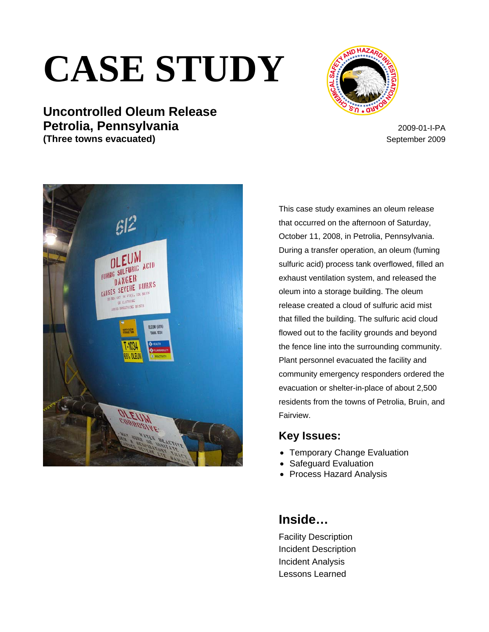# **CASE STUDY**







This case study examines an oleum release that occurred on the afternoon of Saturday, October 11, 2008, in Petrolia, Pennsylvania. During a transfer operation, an oleum (fuming sulfuric acid) process tank overflowed, filled an exhaust ventilation system, and released the oleum into a storage building. The oleum release created a cloud of sulfuric acid mist that filled the building. The sulfuric acid cloud flowed out to the facility grounds and beyond the fence line into the surrounding community. Plant personnel evacuated the facility and community emergency responders ordered the evacuation or shelter-in-place of about 2,500 residents from the towns of Petrolia, Bruin, and Fairview.

## **Key Issues:**

- Temporary Change Evaluation
- Safeguard Evaluation
- Process Hazard Analysis

# **Inside…**

Facility Description Incident Description Incident Analysis Lessons Learned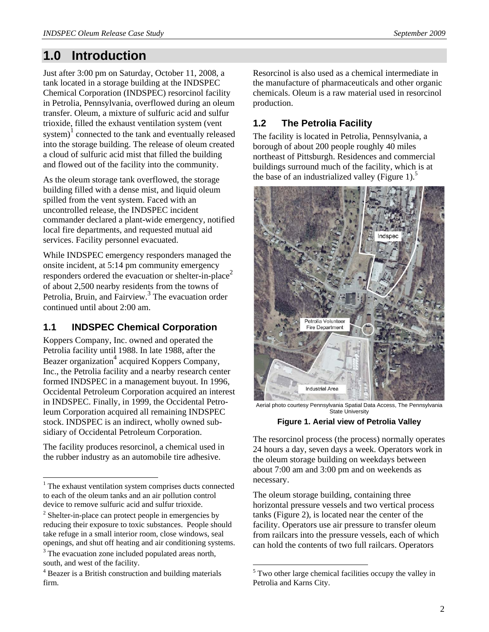# **1.0 Introduction**

Just after 3:00 pm on Saturday, October 11, 2008, a tank located in a storage building at the INDSPEC Chemical Corporation (INDSPEC) resorcinol facility in Petrolia, Pennsylvania, overflowed during an oleum transfer. Oleum, a mixture of sulfuric acid and sulfur trioxide, filled the exhaust ventilation system (vent system)<sup>1</sup> connected to the tank and eventually released into the storage building. The release of oleum created a cloud of sulfuric acid mist that filled the building and flowed out of the facility into the community.

As the oleum storage tank overflowed, the storage building filled with a dense mist, and liquid oleum spilled from the vent system. Faced with an uncontrolled release, the INDSPEC incident commander declared a plant-wide emergency, notified local fire departments, and requested mutual aid services. Facility personnel evacuated.

While INDSPEC emergency responders managed the onsite incident, at 5:14 pm community emergency responders ordered the evacuation or shelter-in-place<sup>2</sup> of about 2,500 nearby residents from the towns of Petrolia, Bruin, and Fairview.<sup>3</sup> The evacuation order continued until about 2:00 am.

## **1.1 INDSPEC Chemical Corporation**

Koppers Company, Inc. owned and operated the Petrolia facility until 1988. In late 1988, after the Beazer organization<sup>4</sup> acquired Koppers Company, Inc., the Petrolia facility and a nearby research center formed INDSPEC in a management buyout. In 1996, Occidental Petroleum Corporation acquired an interest in INDSPEC. Finally, in 1999, the Occidental Petroleum Corporation acquired all remaining INDSPEC stock. INDSPEC is an indirect, wholly owned subsidiary of Occidental Petroleum Corporation.

The facility produces resorcinol, a chemical used in the rubber industry as an automobile tire adhesive.

1

south, and west of the facility.

Resorcinol is also used as a chemical intermediate in the manufacture of pharmaceuticals and other organic chemicals. Oleum is a raw material used in resorcinol production.

# **1.2 The Petrolia Facility**

The facility is located in Petrolia, Pennsylvania, a borough of about 200 people roughly 40 miles northeast of Pittsburgh. Residences and commercial buildings surround much of the facility, which is at the base of an industrialized valley (Figure 1).<sup>5</sup>



Aerial photo courtesy Pennsylvania Spatial Data Access, The Pennsylvania State University

**Figure 1. Aerial view of Petrolia Valley** 

The resorcinol process (the process) normally operates 24 hours a day, seven days a week. Operators work in the oleum storage building on weekdays between about 7:00 am and 3:00 pm and on weekends as necessary.

The oleum storage building, containing three horizontal pressure vessels and two vertical process tanks (Figure 2), is located near the center of the facility. Operators use air pressure to transfer oleum from railcars into the pressure vessels, each of which can hold the contents of two full railcars. Operators

<sup>&</sup>lt;sup>1</sup> The exhaust ventilation system comprises ducts connected to each of the oleum tanks and an air pollution control device to remove sulfuric acid and sulfur trioxide.

 $2^2$  Shelter-in-place can protect people in emergencies by reducing their exposure to toxic substances. People should take refuge in a small interior room, close windows, seal openings, and shut off heating and air conditioning systems. <sup>3</sup> The evacuation zone included populated areas north,

<sup>&</sup>lt;sup>4</sup> Beazer is a British construction and building materials firm.

<sup>&</sup>lt;sup>5</sup> Two other large chemical facilities occupy the valley in Petrolia and Karns City.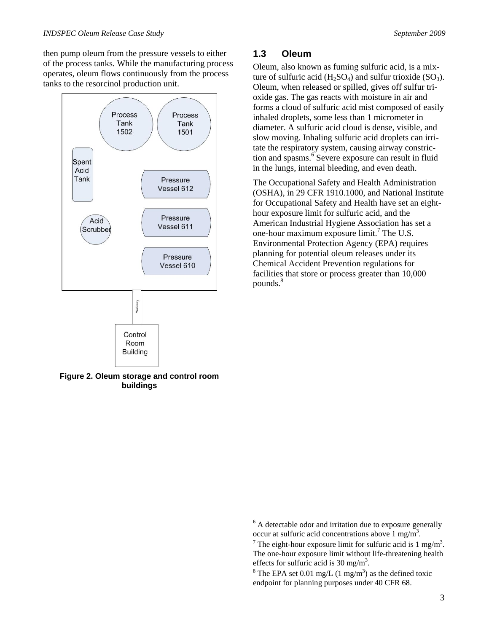then pump oleum from the pressure vessels to either of the process tanks. While the manufacturing process operates, oleum flows continuously from the process tanks to the resorcinol production unit.



**Figure 2. Oleum storage and control room buildings** 

#### **1.3 Oleum**

Oleum, also known as fuming sulfuric acid, is a mixture of sulfuric acid  $(H_2SO_4)$  and sulfur trioxide  $(SO_3)$ . Oleum, when released or spilled, gives off sulfur trioxide gas. The gas reacts with moisture in air and forms a cloud of sulfuric acid mist composed of easily inhaled droplets, some less than 1 micrometer in diameter. A sulfuric acid cloud is dense, visible, and slow moving. Inhaling sulfuric acid droplets can irritate the respiratory system, causing airway constriction and spasms.<sup>6</sup> Severe exposure can result in fluid in the lungs, internal bleeding, and even death.

The Occupational Safety and Health Administration (OSHA), in 29 CFR 1910.1000, and National Institute for Occupational Safety and Health have set an eighthour exposure limit for sulfuric acid, and the American Industrial Hygiene Association has set a one-hour maximum exposure limit.<sup>7</sup> The U.S. Environmental Protection Agency (EPA) requires planning for potential oleum releases under its Chemical Accident Prevention regulations for facilities that store or process greater than 10,000 pounds.<sup>8</sup>

<sup>&</sup>lt;sup>6</sup> A detectable odor and irritation due to exposure generally occur at sulfuric acid concentrations above  $1 \text{ mg/m}^3$ .<br>
<sup>7</sup> The sight hour appeaux limit for sulfurie said is 1.

The eight-hour exposure limit for sulfuric acid is  $1 \text{ mg/m}^3$ . The one-hour exposure limit without life-threatening health effects for sulfuric acid is 30 mg/m<sup>3</sup>.<br><sup>8</sup> The EPA set 0.01 mg/L (1 mg/m<sup>3</sup>) s

The EPA set 0.01 mg/L  $(1 \text{ mg/m}^3)$  as the defined toxic endpoint for planning purposes under 40 CFR 68.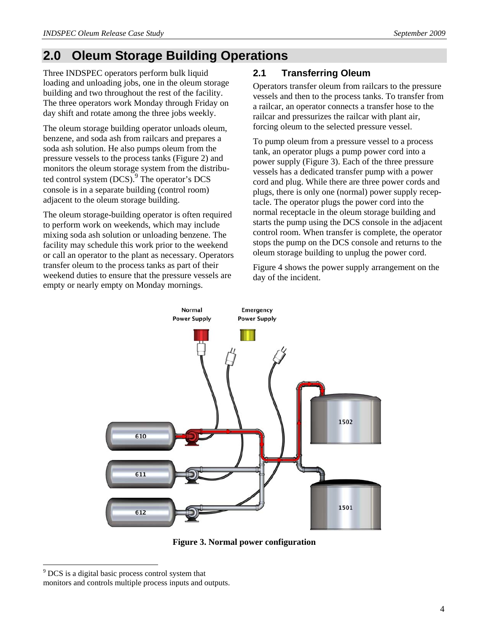# **2.0 Oleum Storage Building Operations**

Three INDSPEC operators perform bulk liquid loading and unloading jobs, one in the oleum storage building and two throughout the rest of the facility. The three operators work Monday through Friday on day shift and rotate among the three jobs weekly.

The oleum storage building operator unloads oleum, benzene, and soda ash from railcars and prepares a soda ash solution. He also pumps oleum from the pressure vessels to the process tanks (Figure 2) and monitors the oleum storage system from the distributed control system  $(DCS)$ . The operator's DCS console is in a separate building (control room) adjacent to the oleum storage building.

The oleum storage-building operator is often required to perform work on weekends, which may include mixing soda ash solution or unloading benzene. The facility may schedule this work prior to the weekend or call an operator to the plant as necessary. Operators transfer oleum to the process tanks as part of their weekend duties to ensure that the pressure vessels are empty or nearly empty on Monday mornings.

## **2.1 Transferring Oleum**

Operators transfer oleum from railcars to the pressure vessels and then to the process tanks. To transfer from a railcar, an operator connects a transfer hose to the railcar and pressurizes the railcar with plant air, forcing oleum to the selected pressure vessel.

To pump oleum from a pressure vessel to a process tank, an operator plugs a pump power cord into a power supply (Figure 3). Each of the three pressure vessels has a dedicated transfer pump with a power cord and plug. While there are three power cords and plugs, there is only one (normal) power supply receptacle. The operator plugs the power cord into the normal receptacle in the oleum storage building and starts the pump using the DCS console in the adjacent control room. When transfer is complete, the operator stops the pump on the DCS console and returns to the oleum storage building to unplug the power cord.

Figure 4 shows the power supply arrangement on the day of the incident.



**Figure 3. Normal power configuration** 

l

<sup>&</sup>lt;sup>9</sup> DCS is a digital basic process control system that

monitors and controls multiple process inputs and outputs.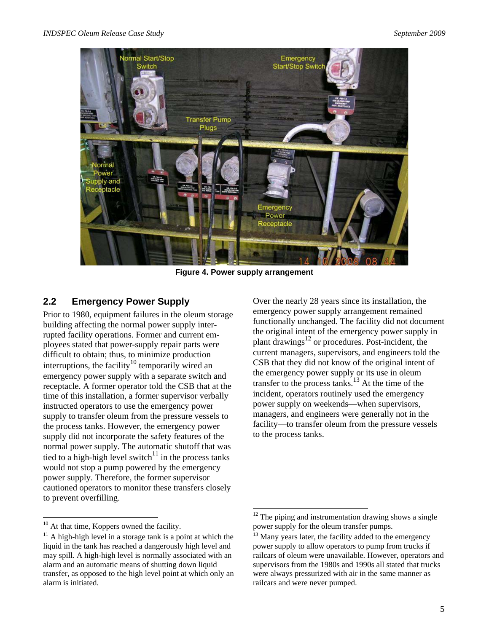

**Figure 4. Power supply arrangement** 

#### **2.2 Emergency Power Supply**

Prior to 1980, equipment failures in the oleum storage building affecting the normal power supply interrupted facility operations. Former and current employees stated that power-supply repair parts were difficult to obtain; thus, to minimize production interruptions, the facility<sup>10</sup> temporarily wired an emergency power supply with a separate switch and receptacle. A former operator told the CSB that at the time of this installation, a former supervisor verbally instructed operators to use the emergency power supply to transfer oleum from the pressure vessels to the process tanks. However, the emergency power supply did not incorporate the safety features of the normal power supply. The automatic shutoff that was tied to a high-high level switch $11$  in the process tanks would not stop a pump powered by the emergency power supply. Therefore, the former supervisor cautioned operators to monitor these transfers closely to prevent overfilling.

l

Over the nearly 28 years since its installation, the emergency power supply arrangement remained functionally unchanged. The facility did not document the original intent of the emergency power supply in plant drawings $^{12}$  or procedures. Post-incident, the current managers, supervisors, and engineers told the CSB that they did not know of the original intent of the emergency power supply or its use in oleum transfer to the process tanks.<sup>13</sup> At the time of the incident, operators routinely used the emergency power supply on weekends—when supervisors, managers, and engineers were generally not in the facility—to transfer oleum from the pressure vessels to the process tanks.

 $10$  At that time, Koppers owned the facility.

 $11$  A high-high level in a storage tank is a point at which the liquid in the tank has reached a dangerously high level and may spill. A high-high level is normally associated with an alarm and an automatic means of shutting down liquid transfer, as opposed to the high level point at which only an alarm is initiated.

  $12$  The piping and instrumentation drawing shows a single power supply for the oleum transfer pumps.

 $13$  Many years later, the facility added to the emergency power supply to allow operators to pump from trucks if railcars of oleum were unavailable. However, operators and supervisors from the 1980s and 1990s all stated that trucks were always pressurized with air in the same manner as railcars and were never pumped.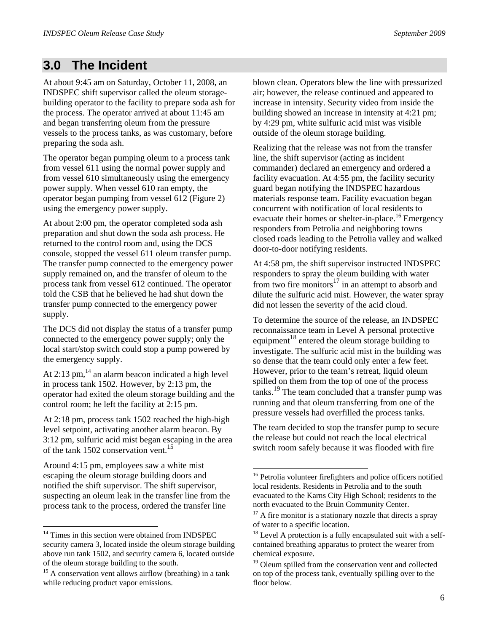# **3.0 The Incident**

At about 9:45 am on Saturday, October 11, 2008, an INDSPEC shift supervisor called the oleum storagebuilding operator to the facility to prepare soda ash for the process. The operator arrived at about 11:45 am and began transferring oleum from the pressure vessels to the process tanks, as was customary, before preparing the soda ash.

The operator began pumping oleum to a process tank from vessel 611 using the normal power supply and from vessel 610 simultaneously using the emergency power supply. When vessel 610 ran empty, the operator began pumping from vessel 612 (Figure 2) using the emergency power supply.

At about 2:00 pm, the operator completed soda ash preparation and shut down the soda ash process. He returned to the control room and, using the DCS console, stopped the vessel 611 oleum transfer pump. The transfer pump connected to the emergency power supply remained on, and the transfer of oleum to the process tank from vessel 612 continued. The operator told the CSB that he believed he had shut down the transfer pump connected to the emergency power supply.

The DCS did not display the status of a transfer pump connected to the emergency power supply; only the local start/stop switch could stop a pump powered by the emergency supply.

At  $2:13$  pm, $^{14}$  an alarm beacon indicated a high level in process tank 1502. However, by 2:13 pm, the operator had exited the oleum storage building and the control room; he left the facility at 2:15 pm.

At 2:18 pm, process tank 1502 reached the high-high level setpoint, activating another alarm beacon. By 3:12 pm, sulfuric acid mist began escaping in the area of the tank 1502 conservation vent.<sup>15</sup>

Around 4:15 pm, employees saw a white mist escaping the oleum storage building doors and notified the shift supervisor. The shift supervisor, suspecting an oleum leak in the transfer line from the process tank to the process, ordered the transfer line

1

blown clean. Operators blew the line with pressurized air; however, the release continued and appeared to increase in intensity. Security video from inside the building showed an increase in intensity at 4:21 pm; by 4:29 pm, white sulfuric acid mist was visible outside of the oleum storage building.

Realizing that the release was not from the transfer line, the shift supervisor (acting as incident commander) declared an emergency and ordered a facility evacuation. At 4:55 pm, the facility security guard began notifying the INDSPEC hazardous materials response team. Facility evacuation began concurrent with notification of local residents to evacuate their homes or shelter-in-place.<sup>16</sup> Emergency responders from Petrolia and neighboring towns closed roads leading to the Petrolia valley and walked door-to-door notifying residents.

At 4:58 pm, the shift supervisor instructed INDSPEC responders to spray the oleum building with water from two fire monitors<sup>17</sup> in an attempt to absorb and dilute the sulfuric acid mist. However, the water spray did not lessen the severity of the acid cloud.

To determine the source of the release, an INDSPEC reconnaissance team in Level A personal protective equipment<sup>18</sup> entered the oleum storage building to investigate. The sulfuric acid mist in the building was so dense that the team could only enter a few feet. However, prior to the team's retreat, liquid oleum spilled on them from the top of one of the process tanks.19 The team concluded that a transfer pump was running and that oleum transferring from one of the pressure vessels had overfilled the process tanks.

The team decided to stop the transfer pump to secure the release but could not reach the local electrical switch room safely because it was flooded with fire

<sup>&</sup>lt;sup>14</sup> Times in this section were obtained from INDSPEC security camera 3, located inside the oleum storage building above run tank 1502, and security camera 6, located outside of the oleum storage building to the south.

<sup>&</sup>lt;sup>15</sup> A conservation vent allows airflow (breathing) in a tank while reducing product vapor emissions.

<sup>&</sup>lt;sup>16</sup> Petrolia volunteer firefighters and police officers notified local residents. Residents in Petrolia and to the south evacuated to the Karns City High School; residents to the north evacuated to the Bruin Community Center.

 $17$  A fire monitor is a stationary nozzle that directs a spray of water to a specific location.

 $18$  Level A protection is a fully encapsulated suit with a selfcontained breathing apparatus to protect the wearer from chemical exposure.

<sup>&</sup>lt;sup>19</sup> Oleum spilled from the conservation vent and collected on top of the process tank, eventually spilling over to the floor below.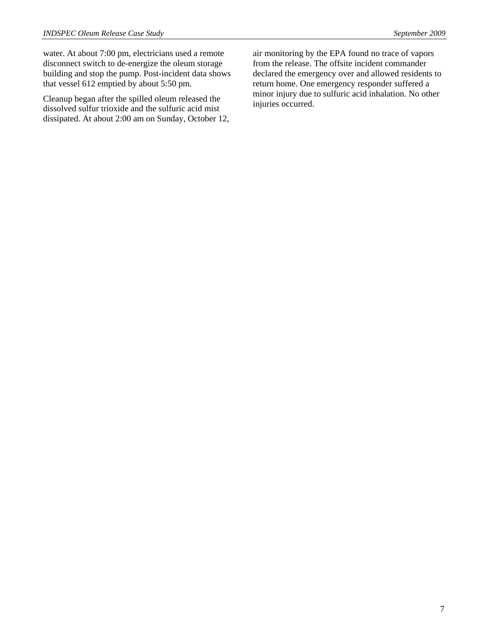water. At about 7:00 pm, electricians used a remote disconnect switch to de-energize the oleum storage building and stop the pump. Post-incident data shows that vessel 612 emptied by about 5:50 pm.

Cleanup began after the spilled oleum released the dissolved sulfur trioxide and the sulfuric acid mist dissipated. At about 2:00 am on Sunday, October 12, air monitoring by the EPA found no trace of vapors from the release. The offsite incident commander declared the emergency over and allowed residents to return home. One emergency responder suffered a minor injury due to sulfuric acid inhalation. No other injuries occurred.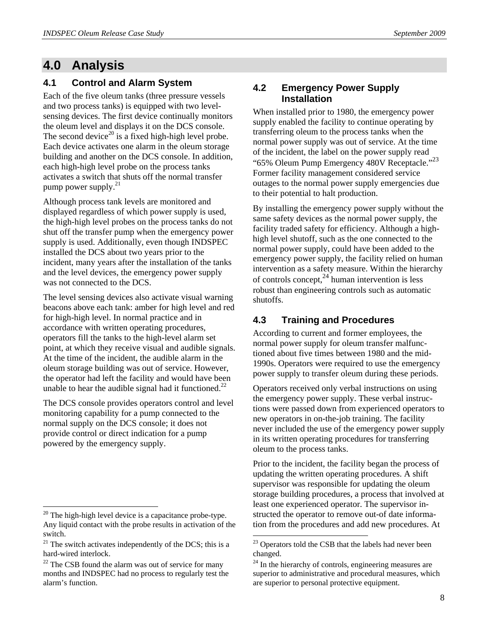# **4.0 Analysis**

#### **4.1 Control and Alarm System**

Each of the five oleum tanks (three pressure vessels and two process tanks) is equipped with two levelsensing devices. The first device continually monitors the oleum level and displays it on the DCS console. The second device<sup>20</sup> is a fixed high-high level probe. Each device activates one alarm in the oleum storage building and another on the DCS console. In addition, each high-high level probe on the process tanks activates a switch that shuts off the normal transfer pump power supply.21

Although process tank levels are monitored and displayed regardless of which power supply is used, the high-high level probes on the process tanks do not shut off the transfer pump when the emergency power supply is used. Additionally, even though INDSPEC installed the DCS about two years prior to the incident, many years after the installation of the tanks and the level devices, the emergency power supply was not connected to the DCS.

The level sensing devices also activate visual warning beacons above each tank: amber for high level and red for high-high level. In normal practice and in accordance with written operating procedures, operators fill the tanks to the high-level alarm set point, at which they receive visual and audible signals. At the time of the incident, the audible alarm in the oleum storage building was out of service. However, the operator had left the facility and would have been unable to hear the audible signal had it functioned.<sup>22</sup>

The DCS console provides operators control and level monitoring capability for a pump connected to the normal supply on the DCS console; it does not provide control or direct indication for a pump powered by the emergency supply.

l

#### **4.2 Emergency Power Supply Installation**

When installed prior to 1980, the emergency power supply enabled the facility to continue operating by transferring oleum to the process tanks when the normal power supply was out of service. At the time of the incident, the label on the power supply read "65% Oleum Pump Emergency 480V Receptacle."<sup>23</sup> Former facility management considered service outages to the normal power supply emergencies due to their potential to halt production.

By installing the emergency power supply without the same safety devices as the normal power supply, the facility traded safety for efficiency. Although a highhigh level shutoff, such as the one connected to the normal power supply, could have been added to the emergency power supply, the facility relied on human intervention as a safety measure. Within the hierarchy of controls concept, $^{24}$  human intervention is less robust than engineering controls such as automatic shutoffs.

#### **4.3 Training and Procedures**

According to current and former employees, the normal power supply for oleum transfer malfunctioned about five times between 1980 and the mid-1990s. Operators were required to use the emergency power supply to transfer oleum during these periods.

Operators received only verbal instructions on using the emergency power supply. These verbal instructions were passed down from experienced operators to new operators in on-the-job training. The facility never included the use of the emergency power supply in its written operating procedures for transferring oleum to the process tanks.

Prior to the incident, the facility began the process of updating the written operating procedures. A shift supervisor was responsible for updating the oleum storage building procedures, a process that involved at least one experienced operator. The supervisor instructed the operator to remove out-of date information from the procedures and add new procedures. At

 $20$  The high-high level device is a capacitance probe-type. Any liquid contact with the probe results in activation of the switch.

 $21$  The switch activates independently of the DCS; this is a hard-wired interlock.

 $22$  The CSB found the alarm was out of service for many months and INDSPEC had no process to regularly test the alarm's function.

<sup>&</sup>lt;sup>23</sup> Operators told the CSB that the labels had never been changed.

<sup>&</sup>lt;sup>24</sup> In the hierarchy of controls, engineering measures are superior to administrative and procedural measures, which are superior to personal protective equipment.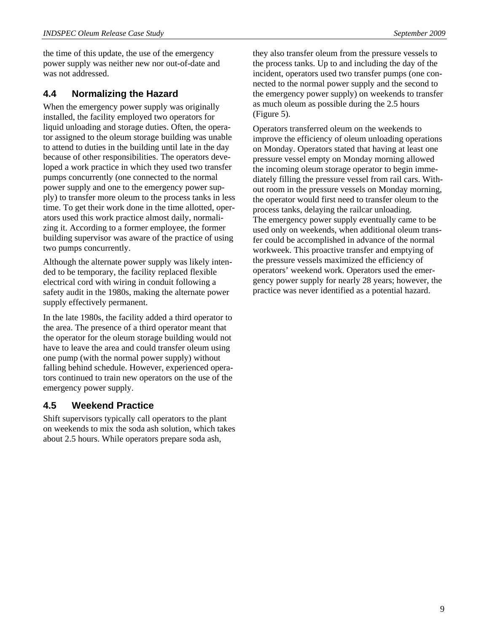the time of this update, the use of the emergency power supply was neither new nor out-of-date and was not addressed.

#### **4.4 Normalizing the Hazard**

When the emergency power supply was originally installed, the facility employed two operators for liquid unloading and storage duties. Often, the operator assigned to the oleum storage building was unable to attend to duties in the building until late in the day because of other responsibilities. The operators developed a work practice in which they used two transfer pumps concurrently (one connected to the normal power supply and one to the emergency power supply) to transfer more oleum to the process tanks in less time. To get their work done in the time allotted, operators used this work practice almost daily, normalizing it. According to a former employee, the former building supervisor was aware of the practice of using two pumps concurrently.

Although the alternate power supply was likely intended to be temporary, the facility replaced flexible electrical cord with wiring in conduit following a safety audit in the 1980s, making the alternate power supply effectively permanent.

In the late 1980s, the facility added a third operator to the area. The presence of a third operator meant that the operator for the oleum storage building would not have to leave the area and could transfer oleum using one pump (with the normal power supply) without falling behind schedule. However, experienced operators continued to train new operators on the use of the emergency power supply.

#### **4.5 Weekend Practice**

Shift supervisors typically call operators to the plant on weekends to mix the soda ash solution, which takes about 2.5 hours. While operators prepare soda ash,

(Figure 5).

Operators transferred oleum on the weekends to improve the efficiency of oleum unloading operations on Monday. Operators stated that having at least one pressure vessel empty on Monday morning allowed the incoming oleum storage operator to begin immediately filling the pressure vessel from rail cars. Without room in the pressure vessels on Monday morning, the operator would first need to transfer oleum to the process tanks, delaying the railcar unloading. The emergency power supply eventually came to be used only on weekends, when additional oleum transfer could be accomplished in advance of the normal workweek. This proactive transfer and emptying of the pressure vessels maximized the efficiency of operators' weekend work. Operators used the emergency power supply for nearly 28 years; however, the practice was never identified as a potential hazard.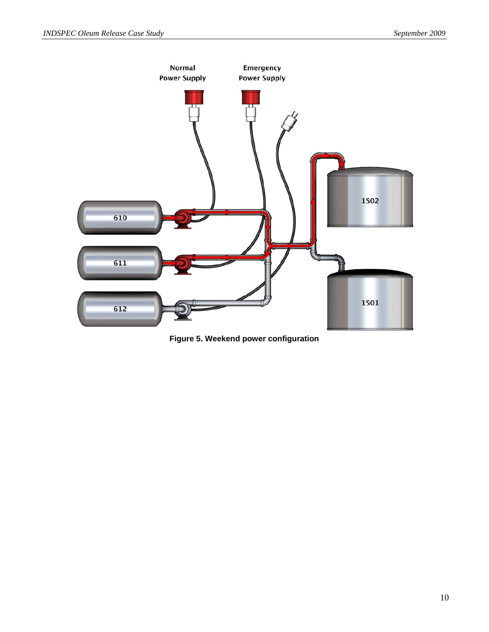

**Figure 5. Weekend power configuration**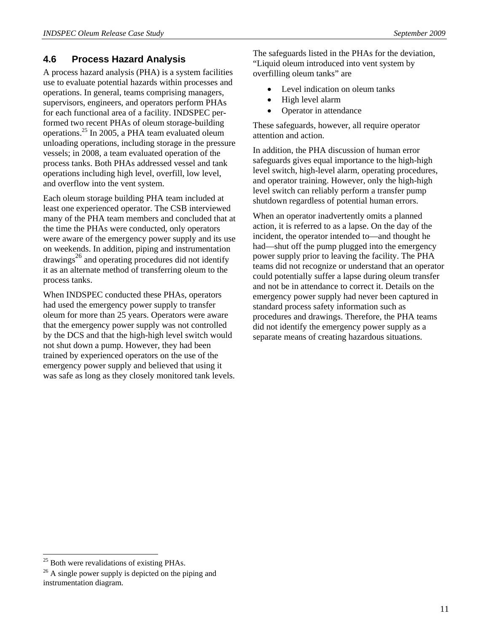## **4.6 Process Hazard Analysis**

A process hazard analysis (PHA) is a system facilities use to evaluate potential hazards within processes and operations. In general, teams comprising managers, supervisors, engineers, and operators perform PHAs for each functional area of a facility. INDSPEC performed two recent PHAs of oleum storage-building operations.25 In 2005, a PHA team evaluated oleum unloading operations, including storage in the pressure vessels; in 2008, a team evaluated operation of the process tanks. Both PHAs addressed vessel and tank operations including high level, overfill, low level, and overflow into the vent system.

Each oleum storage building PHA team included at least one experienced operator. The CSB interviewed many of the PHA team members and concluded that at the time the PHAs were conducted, only operators were aware of the emergency power supply and its use on weekends. In addition, piping and instrumentation  $drawings<sup>26</sup>$  and operating procedures did not identify it as an alternate method of transferring oleum to the process tanks.

When INDSPEC conducted these PHAs, operators had used the emergency power supply to transfer oleum for more than 25 years. Operators were aware that the emergency power supply was not controlled by the DCS and that the high-high level switch would not shut down a pump. However, they had been trained by experienced operators on the use of the emergency power supply and believed that using it was safe as long as they closely monitored tank levels. The safeguards listed in the PHAs for the deviation, "Liquid oleum introduced into vent system by overfilling oleum tanks" are

- Level indication on oleum tanks
- High level alarm
- Operator in attendance

These safeguards, however, all require operator attention and action.

In addition, the PHA discussion of human error safeguards gives equal importance to the high-high level switch, high-level alarm, operating procedures, and operator training. However, only the high-high level switch can reliably perform a transfer pump shutdown regardless of potential human errors.

When an operator inadvertently omits a planned action, it is referred to as a lapse. On the day of the incident, the operator intended to—and thought he had—shut off the pump plugged into the emergency power supply prior to leaving the facility. The PHA teams did not recognize or understand that an operator could potentially suffer a lapse during oleum transfer and not be in attendance to correct it. Details on the emergency power supply had never been captured in standard process safety information such as procedures and drawings. Therefore, the PHA teams did not identify the emergency power supply as a separate means of creating hazardous situations.

 $25$  Both were revalidations of existing PHAs.

 $26$  A single power supply is depicted on the piping and instrumentation diagram.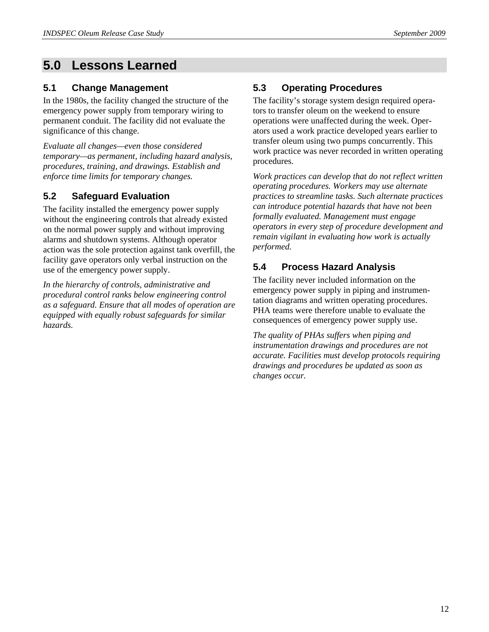# **5.0 Lessons Learned**

## **5.1 Change Management**

In the 1980s, the facility changed the structure of the emergency power supply from temporary wiring to permanent conduit. The facility did not evaluate the significance of this change.

*Evaluate all changes—even those considered temporary—as permanent, including hazard analysis, procedures, training, and drawings. Establish and enforce time limits for temporary changes.* 

## **5.2 Safeguard Evaluation**

The facility installed the emergency power supply without the engineering controls that already existed on the normal power supply and without improving alarms and shutdown systems. Although operator action was the sole protection against tank overfill, the facility gave operators only verbal instruction on the use of the emergency power supply.

*In the hierarchy of controls, administrative and procedural control ranks below engineering control as a safeguard. Ensure that all modes of operation are equipped with equally robust safeguards for similar hazards.* 

## **5.3 Operating Procedures**

The facility's storage system design required operators to transfer oleum on the weekend to ensure operations were unaffected during the week. Operators used a work practice developed years earlier to transfer oleum using two pumps concurrently. This work practice was never recorded in written operating procedures.

*Work practices can develop that do not reflect written operating procedures. Workers may use alternate practices to streamline tasks. Such alternate practices can introduce potential hazards that have not been formally evaluated. Management must engage operators in every step of procedure development and remain vigilant in evaluating how work is actually performed.* 

## **5.4 Process Hazard Analysis**

The facility never included information on the emergency power supply in piping and instrumentation diagrams and written operating procedures. PHA teams were therefore unable to evaluate the consequences of emergency power supply use.

*The quality of PHAs suffers when piping and instrumentation drawings and procedures are not accurate. Facilities must develop protocols requiring drawings and procedures be updated as soon as changes occur.*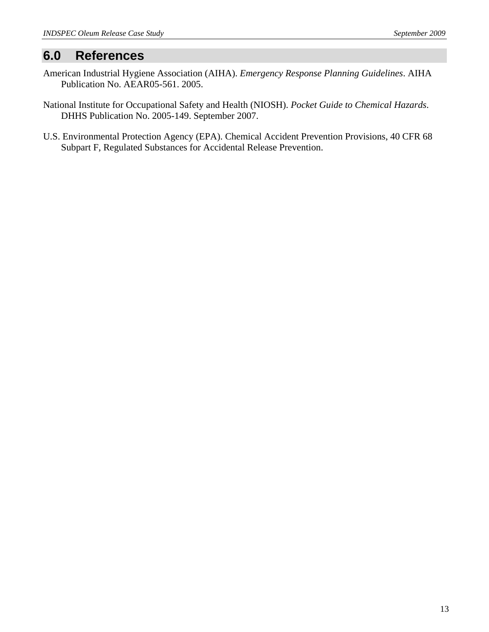# **6.0 References**

- American Industrial Hygiene Association (AIHA). *Emergency Response Planning Guidelines*. AIHA Publication No. AEAR05-561. 2005.
- National Institute for Occupational Safety and Health (NIOSH). *Pocket Guide to Chemical Hazards*. DHHS Publication No. 2005-149. September 2007.
- U.S. Environmental Protection Agency (EPA). Chemical Accident Prevention Provisions, 40 CFR 68 Subpart F, Regulated Substances for Accidental Release Prevention.